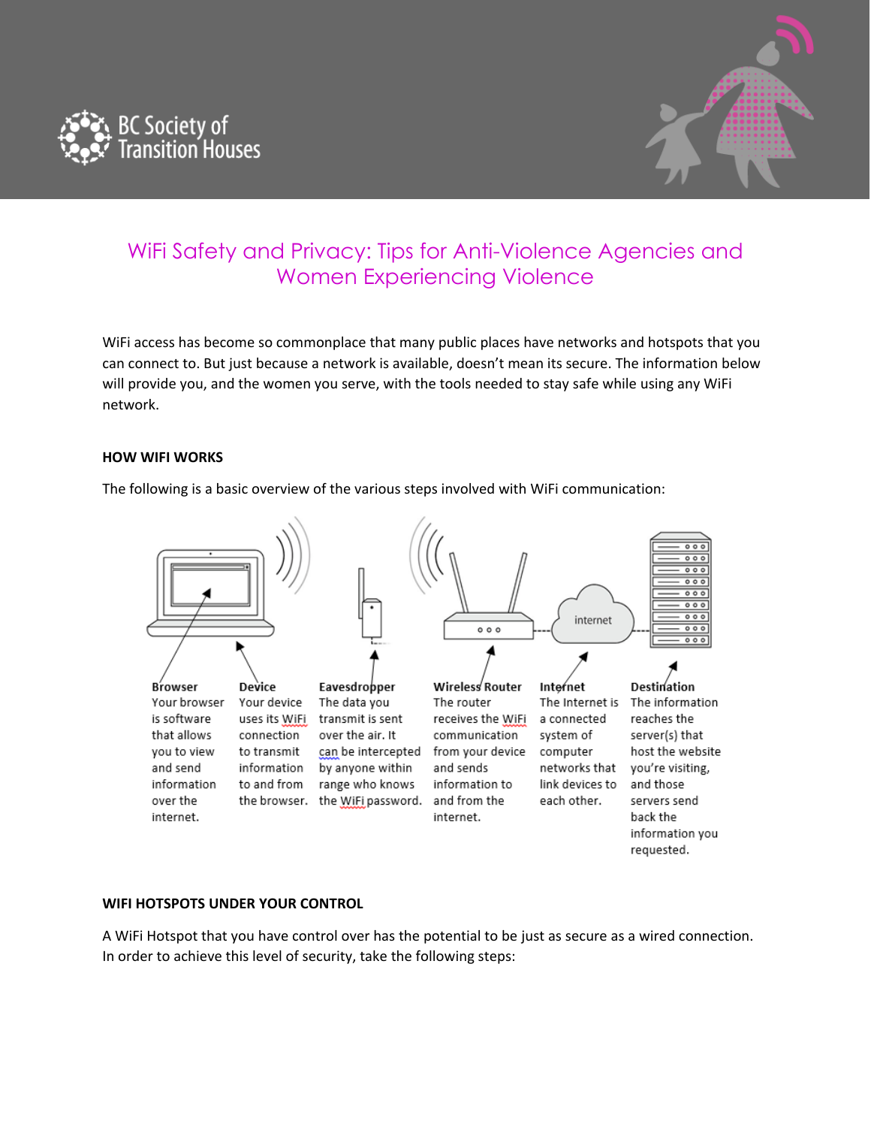



# WiFi Safety and Privacy: Tips for Anti-Violence Agencies and Women Experiencing Violence

WiFi access has become so commonplace that many public places have networks and hotspots that you can connect to. But just because a network is available, doesn't mean its secure. The information below will provide you, and the women you serve, with the tools needed to stay safe while using any WiFi network.

## **HOW WIFI WORKS**

The following is a basic overview of the various steps involved with WiFi communication:



## **WIFI HOTSPOTS UNDER YOUR CONTROL**

A WiFi Hotspot that you have control over has the potential to be just as secure as a wired connection. In order to achieve this level of security, take the following steps: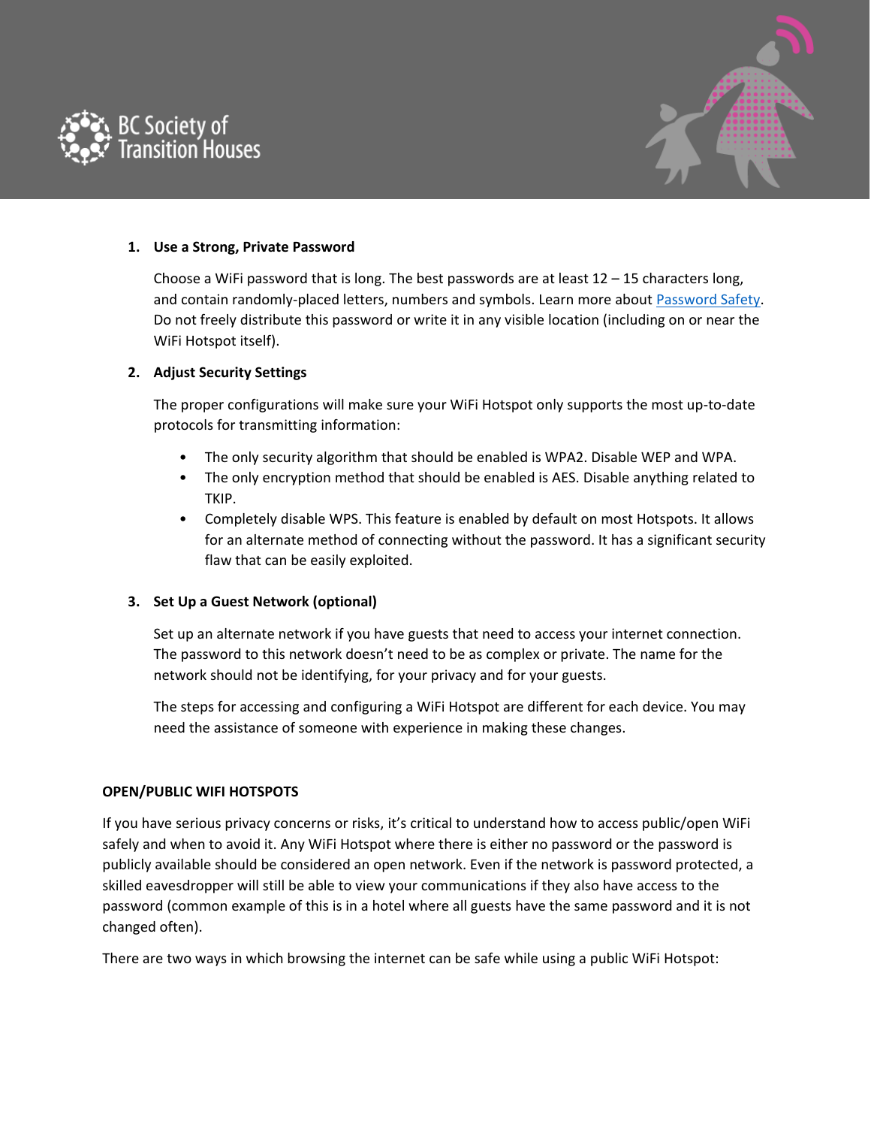



## **1. Use a Strong, Private Password**

Choose a WiFi password that is long. The best passwords are at least  $12 - 15$  characters long, and contain randomly-placed letters, numbers and symbols. Learn more about [Password Safety.](https://bcsth.ca/techsafetytoolkit/passwords-ways-to-increase-your-security/) Do not freely distribute this password or write it in any visible location (including on or near the WiFi Hotspot itself).

## **2. Adjust Security Settings**

The proper configurations will make sure your WiFi Hotspot only supports the most up-to-date protocols for transmitting information:

- The only security algorithm that should be enabled is WPA2. Disable WEP and WPA.
- The only encryption method that should be enabled is AES. Disable anything related to TKIP.
- Completely disable WPS. This feature is enabled by default on most Hotspots. It allows for an alternate method of connecting without the password. It has a significant security flaw that can be easily exploited.

## **3. Set Up a Guest Network (optional)**

Set up an alternate network if you have guests that need to access your internet connection. The password to this network doesn't need to be as complex or private. The name for the network should not be identifying, for your privacy and for your guests.

The steps for accessing and configuring a WiFi Hotspot are different for each device. You may need the assistance of someone with experience in making these changes.

#### **OPEN/PUBLIC WIFI HOTSPOTS**

If you have serious privacy concerns or risks, it's critical to understand how to access public/open WiFi safely and when to avoid it. Any WiFi Hotspot where there is either no password or the password is publicly available should be considered an open network. Even if the network is password protected, a skilled eavesdropper will still be able to view your communications if they also have access to the password (common example of this is in a hotel where all guests have the same password and it is not changed often).

There are two ways in which browsing the internet can be safe while using a public WiFi Hotspot: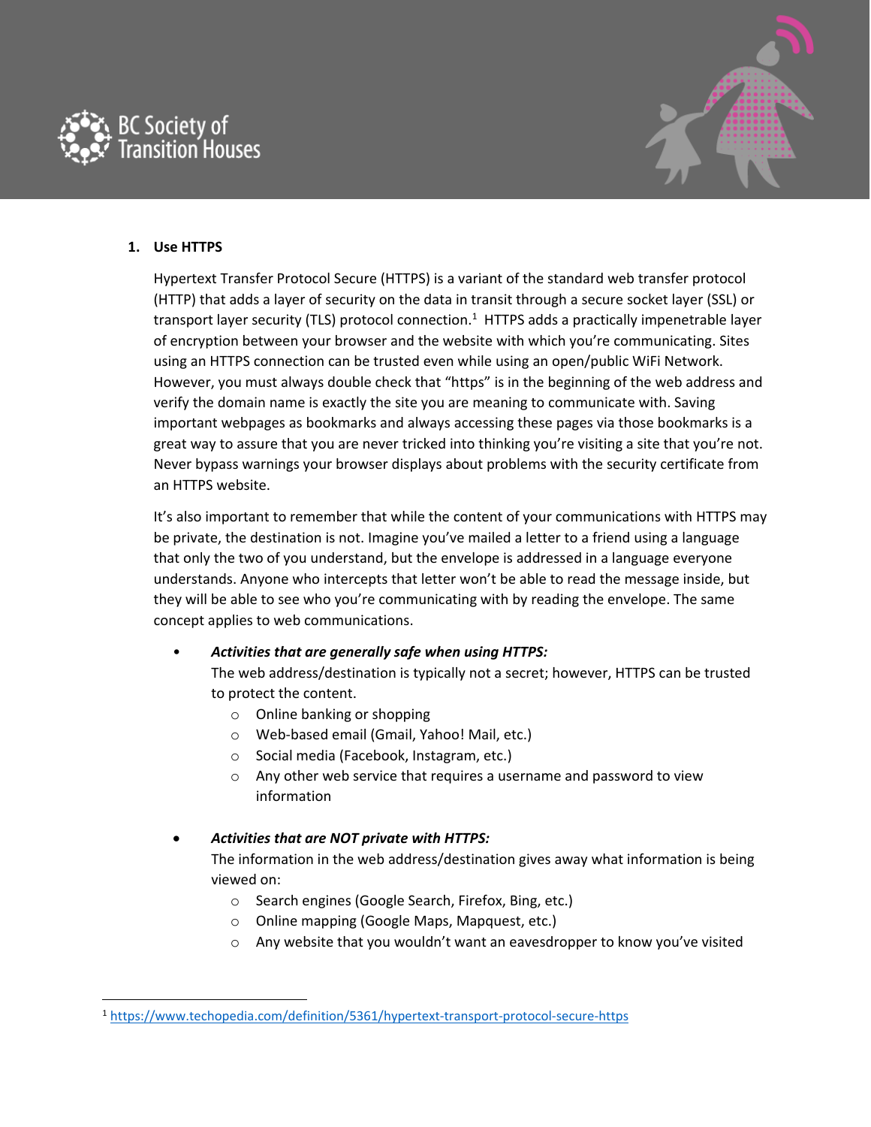



## **1. Use HTTPS**

 $\overline{a}$ 

Hypertext Transfer Protocol Secure (HTTPS) is a variant of the standard web transfer protocol (HTTP) that adds a layer of security on the data in transit through a secure socket layer (SSL) or transport layer security (TLS) protocol connection.<sup>1</sup> HTTPS adds a practically impenetrable layer of encryption between your browser and the website with which you're communicating. Sites using an HTTPS connection can be trusted even while using an open/public WiFi Network. However, you must always double check that "https" is in the beginning of the web address and verify the domain name is exactly the site you are meaning to communicate with. Saving important webpages as bookmarks and always accessing these pages via those bookmarks is a great way to assure that you are never tricked into thinking you're visiting a site that you're not. Never bypass warnings your browser displays about problems with the security certificate from an HTTPS website.

It's also important to remember that while the content of your communications with HTTPS may be private, the destination is not. Imagine you've mailed a letter to a friend using a language that only the two of you understand, but the envelope is addressed in a language everyone understands. Anyone who intercepts that letter won't be able to read the message inside, but they will be able to see who you're communicating with by reading the envelope. The same concept applies to web communications.

## • *Activities that are generally safe when using HTTPS:*

The web address/destination is typically not a secret; however, HTTPS can be trusted to protect the content.

- o Online banking or shopping
- o Web-based email (Gmail, Yahoo! Mail, etc.)
- o Social media (Facebook, Instagram, etc.)
- o Any other web service that requires a username and password to view information

# • *Activities that are NOT private with HTTPS:*

The information in the web address/destination gives away what information is being viewed on:

- o Search engines (Google Search, Firefox, Bing, etc.)
- o Online mapping (Google Maps, Mapquest, etc.)
- $\circ$  Any website that you wouldn't want an eavesdropper to know you've visited

<sup>1</sup> <https://www.techopedia.com/definition/5361/hypertext-transport-protocol-secure-https>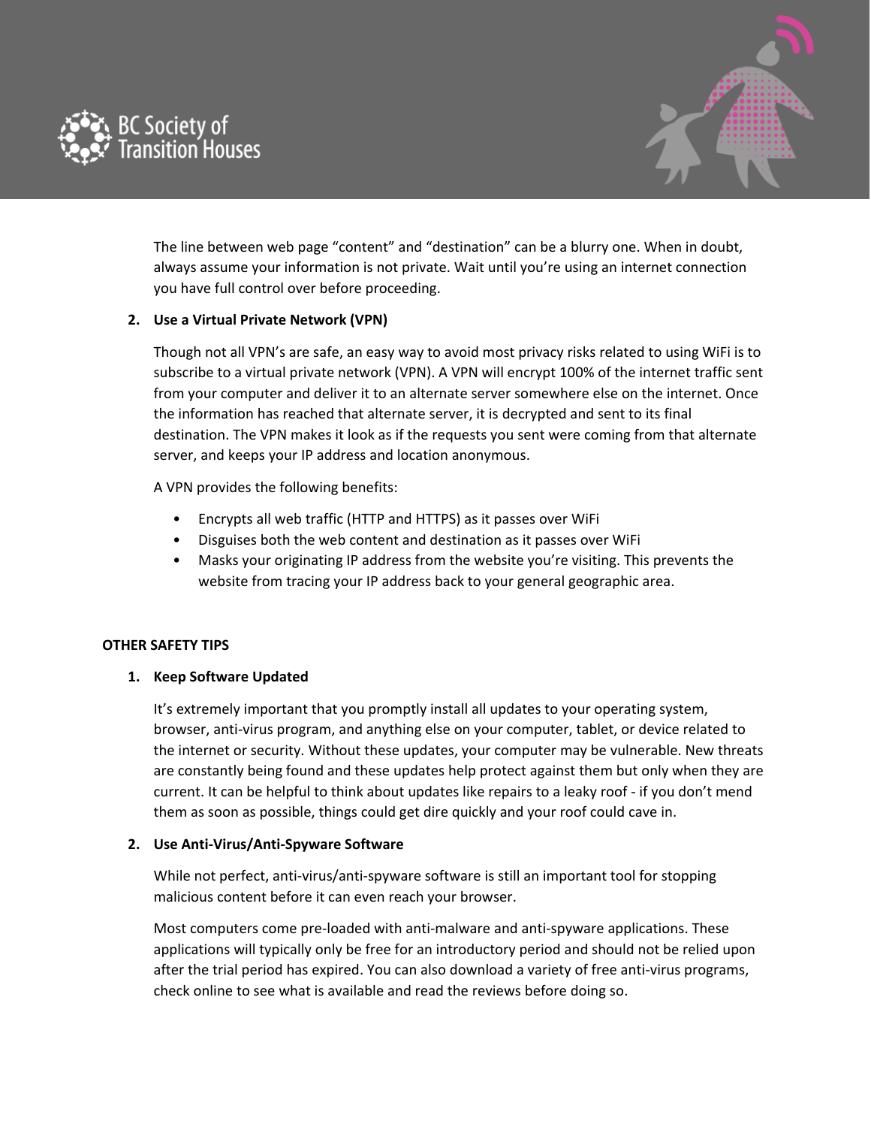



The line between web page "content" and "destination" can be a blurry one. When in doubt, always assume your information is not private. Wait until you're using an internet connection you have full control over before proceeding.

## **2. Use a Virtual Private Network (VPN)**

Though not all VPN's are safe, an easy way to avoid most privacy risks related to using WiFi is to subscribe to a virtual private network (VPN). A VPN will encrypt 100% of the internet traffic sent from your computer and deliver it to an alternate server somewhere else on the internet. Once the information has reached that alternate server, it is decrypted and sent to its final destination. The VPN makes it look as if the requests you sent were coming from that alternate server, and keeps your IP address and location anonymous.

A VPN provides the following benefits:

- Encrypts all web traffic (HTTP and HTTPS) as it passes over WiFi
- Disguises both the web content and destination as it passes over WiFi
- Masks your originating IP address from the website you're visiting. This prevents the website from tracing your IP address back to your general geographic area.

## **OTHER SAFETY TIPS**

## **1. Keep Software Updated**

It's extremely important that you promptly install all updates to your operating system, browser, anti-virus program, and anything else on your computer, tablet, or device related to the internet or security. Without these updates, your computer may be vulnerable. New threats are constantly being found and these updates help protect against them but only when they are current. It can be helpful to think about updates like repairs to a leaky roof - if you don't mend them as soon as possible, things could get dire quickly and your roof could cave in.

## **2. Use Anti-Virus/Anti-Spyware Software**

While not perfect, anti-virus/anti-spyware software is still an important tool for stopping malicious content before it can even reach your browser.

Most computers come pre-loaded with anti-malware and anti-spyware applications. These applications will typically only be free for an introductory period and should not be relied upon after the trial period has expired. You can also download a variety of free anti-virus programs, check online to see what is available and read the reviews before doing so.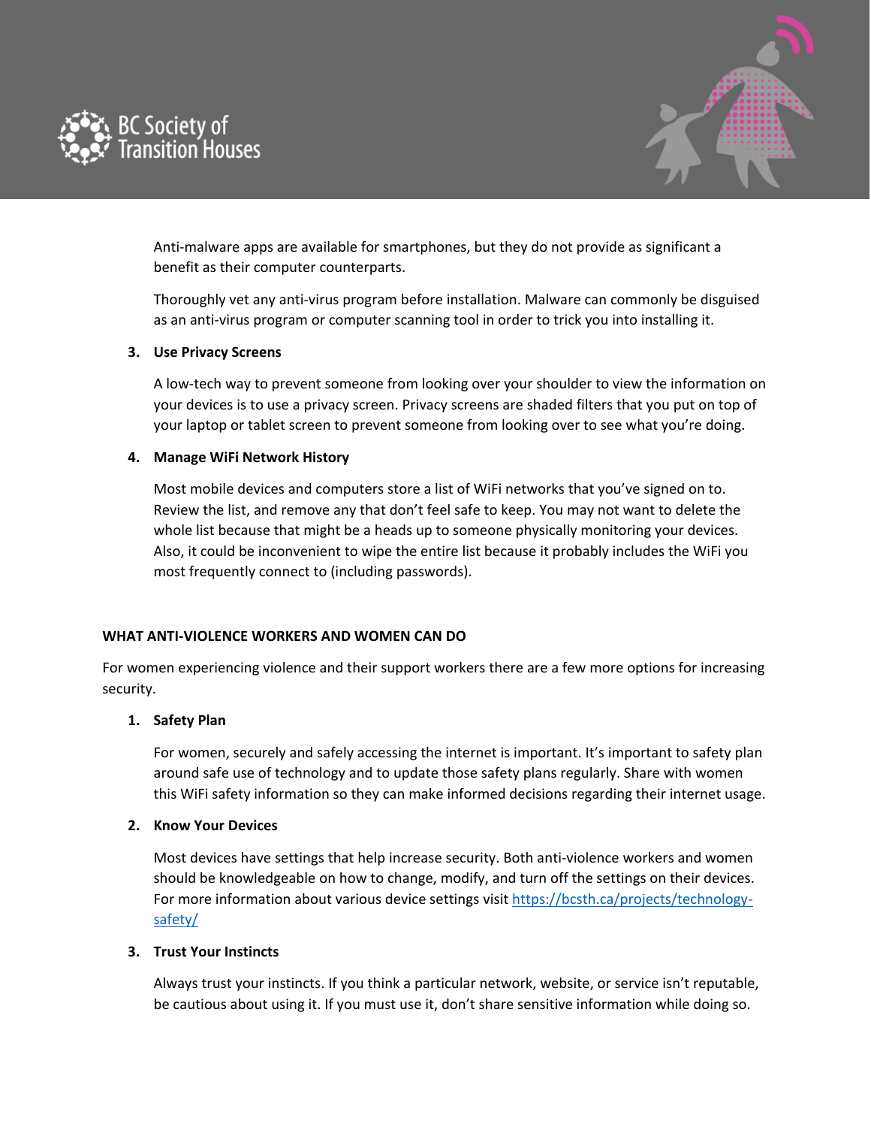



Anti-malware apps are available for smartphones, but they do not provide as significant a benefit as their computer counterparts.

Thoroughly vet any anti-virus program before installation. Malware can commonly be disguised as an anti-virus program or computer scanning tool in order to trick you into installing it.

#### **3. Use Privacy Screens**

A low-tech way to prevent someone from looking over your shoulder to view the information on your devices is to use a privacy screen. Privacy screens are shaded filters that you put on top of your laptop or tablet screen to prevent someone from looking over to see what you're doing.

## **4. Manage WiFi Network History**

Most mobile devices and computers store a list of WiFi networks that you've signed on to. Review the list, and remove any that don't feel safe to keep. You may not want to delete the whole list because that might be a heads up to someone physically monitoring your devices. Also, it could be inconvenient to wipe the entire list because it probably includes the WiFi you most frequently connect to (including passwords).

#### **WHAT ANTI-VIOLENCE WORKERS AND WOMEN CAN DO**

For women experiencing violence and their support workers there are a few more options for increasing security.

## **1. Safety Plan**

For women, securely and safely accessing the internet is important. It's important to safety plan around safe use of technology and to update those safety plans regularly. Share with women this WiFi safety information so they can make informed decisions regarding their internet usage.

## **2. Know Your Devices**

Most devices have settings that help increase security. Both anti-violence workers and women should be knowledgeable on how to change, modify, and turn off the settings on their devices. For more information about various device settings visit [https://bcsth.ca/projects/technology](https://bcsth.ca/projects/technology-safety/)[safety/](https://bcsth.ca/projects/technology-safety/)

#### **3. Trust Your Instincts**

Always trust your instincts. If you think a particular network, website, or service isn't reputable, be cautious about using it. If you must use it, don't share sensitive information while doing so.